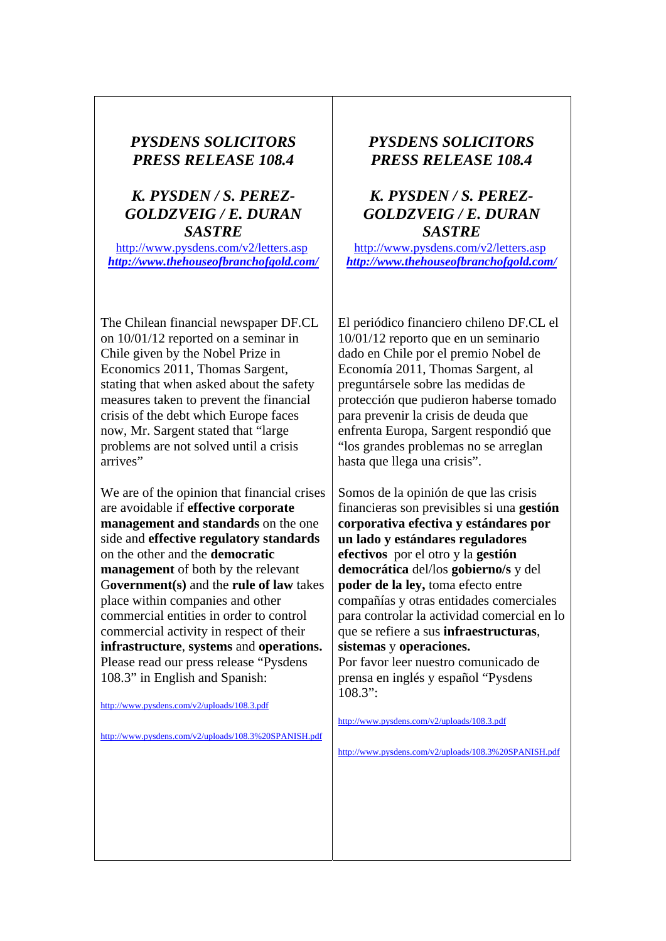## *PYSDENS SOLICITORS PRESS RELEASE 108.4*

## *K. PYSDEN / S. PEREZ-GOLDZVEIG / E. DURAN SASTRE*

http://www.pysdens.com/v2/letters.asp *http://www.thehouseofbranchofgold.com/*

The Chilean financial newspaper DF.CL on 10/01/12 reported on a seminar in Chile given by the Nobel Prize in Economics 2011, Thomas Sargent, stating that when asked about the safety measures taken to prevent the financial crisis of the debt which Europe faces now, Mr. Sargent stated that "large problems are not solved until a crisis arrives"

We are of the opinion that financial crises are avoidable if **effective corporate management and standards** on the one side and **effective regulatory standards**  on the other and the **democratic management** of both by the relevant G**overnment(s)** and the **rule of law** takes place within companies and other commercial entities in order to control commercial activity in respect of their **infrastructure**, **systems** and **operations.**  Please read our press release "Pysdens 108.3" in English and Spanish:

http://www.pysdens.com/v2/uploads/108.3.pdf

http://www.pysdens.com/v2/uploads/108.3%20SPANISH.pdf

## *PYSDENS SOLICITORS PRESS RELEASE 108.4*

## *K. PYSDEN / S. PEREZ-GOLDZVEIG / E. DURAN SASTRE*

http://www.pysdens.com/v2/letters.asp *http://www.thehouseofbranchofgold.com/*

El periódico financiero chileno DF.CL el 10/01/12 reporto que en un seminario dado en Chile por el premio Nobel de Economía 2011, Thomas Sargent, al preguntársele sobre las medidas de protección que pudieron haberse tomado para prevenir la crisis de deuda que enfrenta Europa, Sargent respondió que "los grandes problemas no se arreglan hasta que llega una crisis".

Somos de la opinión de que las crisis financieras son previsibles si una **gestión corporativa efectiva y estándares por un lado y estándares reguladores efectivos** por el otro y la **gestión democrática** del/los **gobierno/s** y del **poder de la ley,** toma efecto entre compañías y otras entidades comerciales para controlar la actividad comercial en lo que se refiere a sus **infraestructuras**, **sistemas** y **operaciones.** 

Por favor leer nuestro comunicado de prensa en inglés y español "Pysdens  $108.3"$ :

http://www.pysdens.com/v2/uploads/108.3.pdf

http://www.pysdens.com/v2/uploads/108.3%20SPANISH.pdf